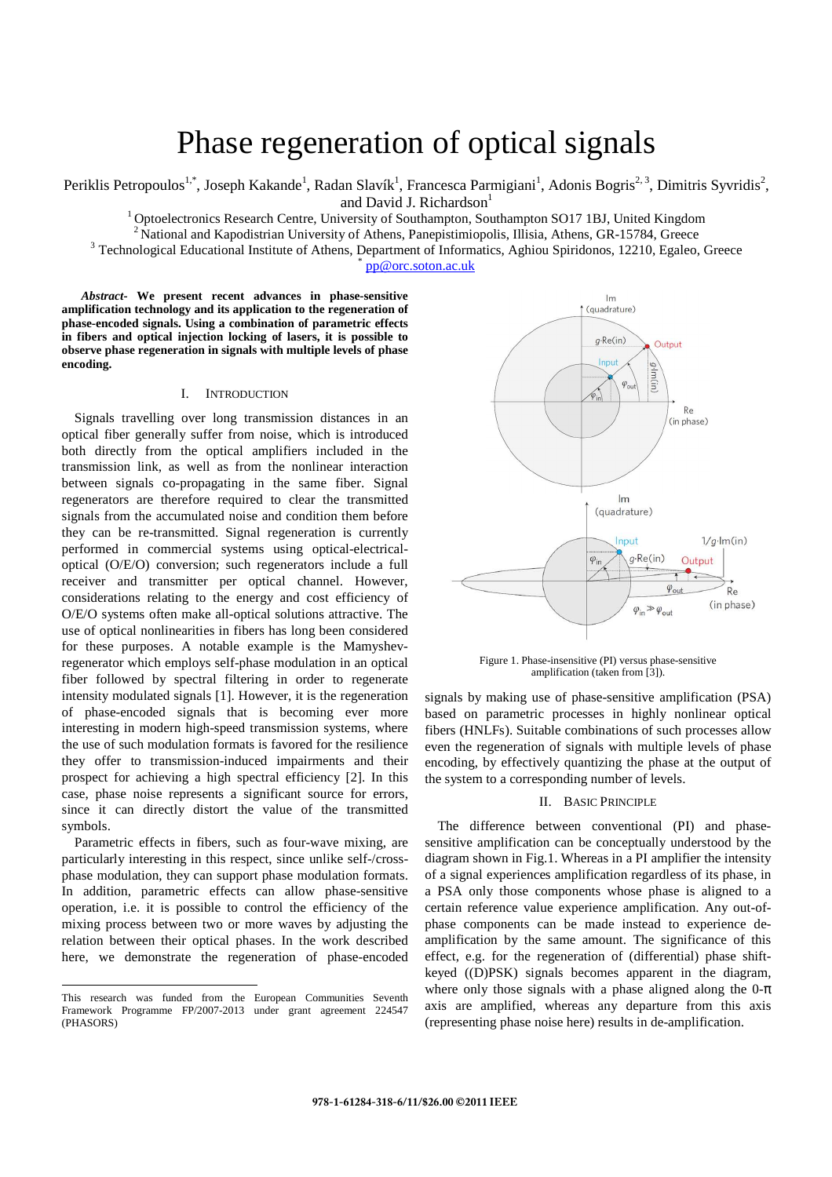# Phase regeneration of optical signals

Periklis Petropoulos<sup>1,\*</sup>, Joseph Kakande<sup>1</sup>, Radan Slavík<sup>1</sup>, Francesca Parmigiani<sup>1</sup>, Adonis Bogris<sup>2, 3</sup>, Dimitris Syvridis<sup>2</sup>, and David J. Richardson<sup>1</sup>

<sup>1</sup> Optoelectronics Research Centre, University of Southampton, Southampton SO17 1BJ, United Kingdom <sup>2</sup> National and Kapodistrian University of Athens, Panepistimiopolis, Illisia, Athens, GR-15784, Greece

<sup>3</sup> Technological Educational Institute of Athens, Department of Informatics, Aghiou Spiridonos, 12210, Egaleo, Greece

\* pp@orc.soton.ac.uk

*Abstract-* **We present recent advances in phase-sensitive amplification technology and its application to the regeneration of phase-encoded signals. Using a combination of parametric effects in fibers and optical injection locking of lasers, it is possible to observe phase regeneration in signals with multiple levels of phase encoding.** 

## I. INTRODUCTION

Signals travelling over long transmission distances in an optical fiber generally suffer from noise, which is introduced both directly from the optical amplifiers included in the transmission link, as well as from the nonlinear interaction between signals co-propagating in the same fiber. Signal regenerators are therefore required to clear the transmitted signals from the accumulated noise and condition them before they can be re-transmitted. Signal regeneration is currently performed in commercial systems using optical-electricaloptical (O/E/O) conversion; such regenerators include a full receiver and transmitter per optical channel. However, considerations relating to the energy and cost efficiency of O/E/O systems often make all-optical solutions attractive. The use of optical nonlinearities in fibers has long been considered for these purposes. A notable example is the Mamyshevregenerator which employs self-phase modulation in an optical fiber followed by spectral filtering in order to regenerate intensity modulated signals [1]. However, it is the regeneration of phase-encoded signals that is becoming ever more interesting in modern high-speed transmission systems, where the use of such modulation formats is favored for the resilience they offer to transmission-induced impairments and their prospect for achieving a high spectral efficiency [2]. In this case, phase noise represents a significant source for errors, since it can directly distort the value of the transmitted symbols.

Parametric effects in fibers, such as four-wave mixing, are particularly interesting in this respect, since unlike self-/crossphase modulation, they can support phase modulation formats. In addition, parametric effects can allow phase-sensitive operation, i.e. it is possible to control the efficiency of the mixing process between two or more waves by adjusting the relation between their optical phases. In the work described here, we demonstrate the regeneration of phase-encoded

-



Figure 1. Phase-insensitive (PI) versus phase-sensitive amplification (taken from [3]).

signals by making use of phase-sensitive amplification (PSA) based on parametric processes in highly nonlinear optical fibers (HNLFs). Suitable combinations of such processes allow even the regeneration of signals with multiple levels of phase encoding, by effectively quantizing the phase at the output of the system to a corresponding number of levels.

# II. BASIC PRINCIPLE

The difference between conventional (PI) and phasesensitive amplification can be conceptually understood by the diagram shown in Fig.1. Whereas in a PI amplifier the intensity of a signal experiences amplification regardless of its phase, in a PSA only those components whose phase is aligned to a certain reference value experience amplification. Any out-ofphase components can be made instead to experience deamplification by the same amount. The significance of this effect, e.g. for the regeneration of (differential) phase shiftkeyed ((D)PSK) signals becomes apparent in the diagram, where only those signals with a phase aligned along the  $0-\pi$ axis are amplified, whereas any departure from this axis (representing phase noise here) results in de-amplification.

This research was funded from the European Communities Seventh Framework Programme FP/2007-2013 under grant agreement 224547 (PHASORS)